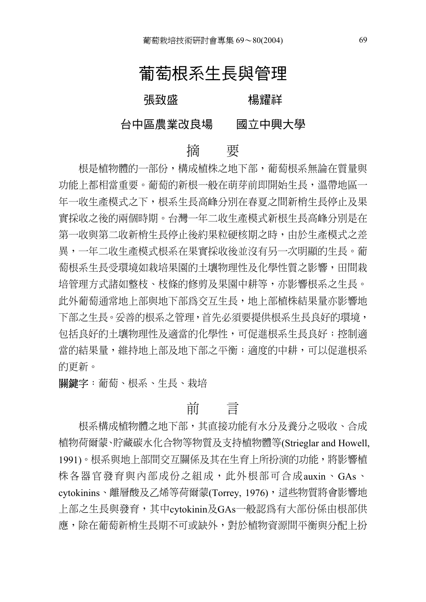# 葡萄根系生長與管理

張致盛 楊耀祥

#### 台中區農業改良場 國立中興大學

#### 摘 要

根是植物體的一部份,構成植株之地下部,葡萄根系無論在質量與 功能上都相當重要。葡萄的新根一般在萌芽前即開始生長,溫帶地區一 年一收生產模式之下,根系生長高峰分別在春夏之間新梢生長停止及果 實採收之後的兩個時期。台灣一年二收生產模式新根生長高峰分別是在 第一收與第二收新梢生長停止後約果粒硬核期之時,由於生產模式之差 異,一年二收生產模式根系在果實採收後並沒有另一次明顯的生長。葡 萄根系生長受環境如栽培果園的土壤物理性及化學性質之影響,田間栽 培管理方式諸如整枝、枝條的修剪及果園中耕等,亦影響根系之生長。 此外葡萄通常地上部與地下部為交互生長,地上部植株結果量亦影響地 下部之生長。妥善的根系之管理,首先必須要提供根系生長良好的環境, 包括良好的土壤物理性及適當的化學性,可促進根系生長良好;控制適 當的結果量,維持地上部及地下部之平衡;適度的中耕,可以促進根系 的更新。

關鍵字:葡萄、根系、生長、栽培

## 前 言

根系構成植物體之地下部,其直接功能有水分及養分之吸收、合成 植物荷爾蒙、貯藏碳水化合物等物質及支持植物體等(Strieglar and Howell, 1991)。根系與地上部間交互關係及其在生育上所扮演的功能,將影響植 株各器官發育與內部成份之組成,此外根部可合成auxin、GAs、 cytokinins、離層酸及乙烯等荷爾蒙(Torrey, 1976),這些物質將會影響地 上部之生長與發育,其中cytokinin及GAs一般認為有大部份係由根部供 應,除在葡萄新梢生長期不可或缺外,對於植物資源間平衡與分配上扮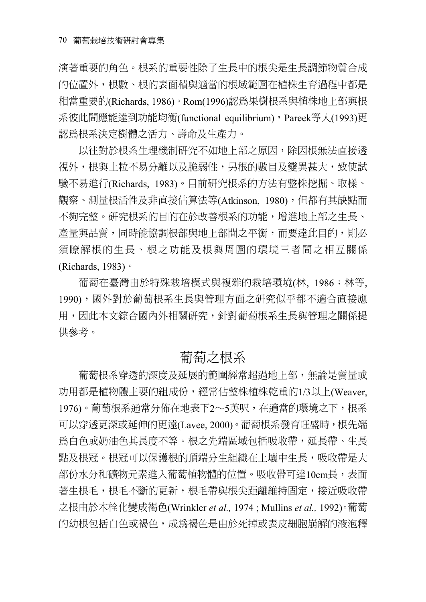演著重要的角色。根系的重要性除了生長中的根尖是生長調節物質合成 的位置外,根數、根的表面積與適當的根域範圍在植株生育過程中都是 相當重要的(Richards, 1986)。Rom(1996)認為果樹根系與植株地上部與根 系彼此間應能達到功能均衡(functional equilibrium), Pareek等人(1993)更 認為根系決定樹體之活力、壽命及生產力。

以往對於根系生理機制研究不如地上部之原因,除因根無法直接透 視外,根與土粒不易分離以及脆弱性,另根的數目及變異甚大,致使試 驗不易進行(Richards, 1983)。目前研究根系的方法有整株挖掘、取樣、 觀察、測量根活性及非直接估算法等(Atkinson, 1980), 但都有其缺點而 不夠完整。研究根系的目的在於改善根系的功能,增進地上部之生長、 產量與品質,同時能協調根部與地上部間之平衡,而要達此目的,則必 須瞭解根的生長、根之功能及根與周圍的環境三者間之相互關係 (Richards, 1983)。

葡萄在臺灣由於特殊栽培模式與複雜的栽培環境(林, 1986;林等, 1990),國外對於葡萄根系生長與管理方面之研究似乎都不適合直接應 用,因此本文綜合國內外相關研究,針對葡萄根系生長與管理之關係提 供參考。

#### 葡萄之根系

葡萄根系穿透的深度及延展的範圍經常超過地上部,無論是質量或 功用都是植物體主要的組成份,經常佔整株植株乾重的1/3以上(Weaver, 1976)。葡萄根系通常分佈在地表下2∼5英呎,在適當的環境之下,根系 可以穿透更深或延伸的更遠(Lavee, 2000)。葡萄根系發育旺盛時,根先端 為白色或奶油色其長度不等。根之先端區域包括吸收帶,延長帶、生長 點及根冠。根冠可以保護根的頂端分生組織在土壤中生長,吸收帶是大 部份水分和礦物元素進入葡萄植物體的位置。吸收帶可達10cm長,表面 著生根毛,根毛不斷的更新,根毛帶與根尖距離維持固定,接近吸收帶 之根由於木栓化變成褐色(Wrinkler *et al.,* 1974 ; Mullins *et al.,* 1992)。葡萄 的幼根包括白色或褐色,成為褐色是由於死掉或表皮細胞崩解的液泡釋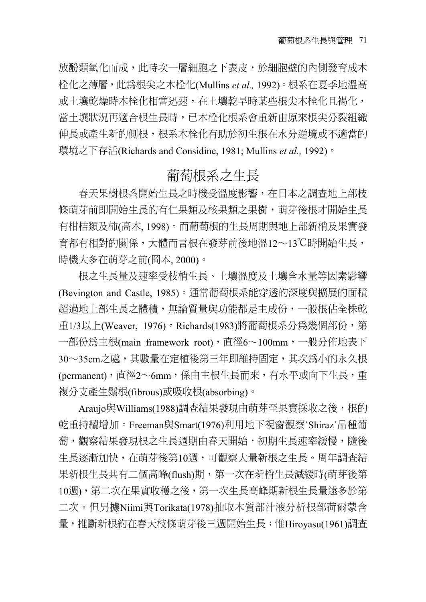放酚類氧化而成,此時次一層細胞之下表皮,於細胞壁的內側發育成木 栓化之薄層,此為根尖之木栓化(Mullins *et al.,* 1992)。根系在夏季地溫高 或土壤乾燥時木栓化相當迅速,在土壤乾旱時某些根尖木栓化且褐化, 當土壤狀況再適合根生長時,已木栓化根系會重新由原來根尖分裂組織 伸長或產生新的側根,根系木栓化有助於初生根在水分逆境或不適當的 環境之下存活(Richards and Considine, 1981; Mullins *et al.,* 1992)。

#### 葡萄根系之生長

春天果樹根系開始生長之時機受溫度影響,在日本之調查地上部枝 條萌芽前即開始生長的有仁果類及核果類之果樹,萌芽後根才開始生長 有柑桔類及柿(高木, 1998)。而葡萄根的生長周期與地上部新梢及果實發 育都有相對的關係,大體而言根在發芽前後地溫12∼13℃時開始生長, 時機大多在萌芽之前(岡本, 2000)。

根之生長量及速率受枝梢生長、土壤溫度及土壤含水量等因素影響 (Bevington and Castle, 1985)。通常葡萄根系能穿透的深度與擴展的面積 超過地上部生長之體積,無論質量與功能都是主成份,一般根佔全株乾 重1/3以上(Weaver, 1976)。Richards(1983)將葡萄根系分為幾個部份,第 一部份為主根(main framework root),直徑6∼100mm,一般分佈地表下 30∼35cm之處,其數量在定植後第三年即維持固定,其次為小的永久根 (permanent),直徑2∼6mm,係由主根生長而來,有水平或向下生長,重 複分支產生鬚根(fibrous)或吸收根(absorbing)。

Araujo與Williams(1988)調查結果發現由萌芽至果實採收之後,根的 乾重持續增加。Freeman與Smart(1976)利用地下視窗觀察`Shiraz´品種葡 萄,觀察結果發現根之生長週期由春天開始,初期生長速率緩慢,隨後 生長逐漸加快,在萌芽後第10週,可觀察大量新根之生長。周年調查結 果新根生長共有二個高峰(flush)期, 第一次在新梢生長減緩時(萌芽後第 10週),第二次在果實收穫之後,第一次生長高峰期新根生長量遠多於第 二次。但另據Niimi與Torikata(1978)抽取木質部汁液分析根部荷爾蒙含 量,推斷新根約在春天枝條萌芽後三週開始生長;惟Hiroyasu(1961)調查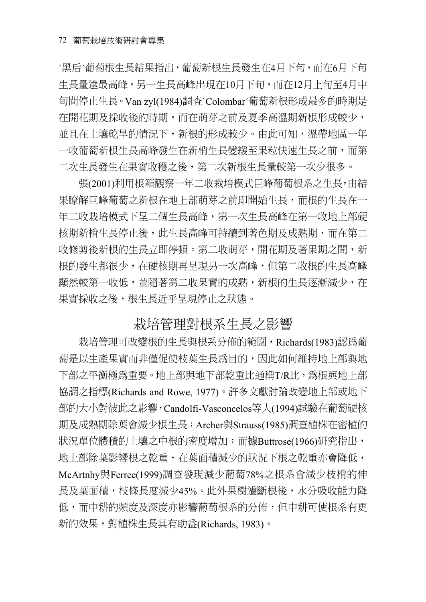`黑后´葡萄根生長結果指出,葡萄新根生長發生在4月下旬,而在6月下旬 生長量達最高峰,另一生長高峰出現在10月下旬,而在12月上旬至4月中 旬間停止生長。Van zyl(1984)調查`Colombar´葡萄新根形成最多的時期是 在開花期及採收後的時期,而在萌芽之前及夏季高溫期新根形成較少, 並且在土壤乾旱的情況下,新根的形成較少。由此可知,溫帶地區一年 一收葡萄新根生長高峰發生在新梢生長變緩至果粒快速生長之前,而第 二次生長發生在果實收穫之後,第二次新根生長量較第一次少很多。

張(2001)利用根箱觀察一年二收栽培模式巨峰葡萄根系之生長,由結 果瞭解巨峰葡萄之新根在地上部萌芽之前即開始生長,而根的生長在一 年二收栽培模式下呈二個生長高峰,第一次生長高峰在第一收地上部硬 核期新梢生長停止後,此生長高峰可持續到著色期及成熟期,而在第二 收修剪後新根的生長立即停頓。第二收萌芽,開花期及著果期之間,新 根的發生都很少,在硬核期再呈現另一次高峰,但第二收根的生長高峰 顯然較第一收低,並隨著第二收果實的成熟,新根的生長逐漸減少,在 果實採收之後,根生長近乎呈現停止之狀態。

#### 栽培管理對根系生長之影響

栽培管理可改變根的生長與根系分佈的範圍,Richards(1983)認為葡 萄是以生產果實而非僅促使枝葉生長為目的,因此如何維持地上部與地 下部之平衡極為重要。地上部與地下部乾重比通稱T/R比,為根與地上部 協調之指標(Richards and Rowe, 1977)。許多文獻討論改變地上部或地下 部的大小對彼此之影響,Candolfi-Vasconcelos等人(1994)試驗在葡萄硬核 期及成熟期除葉會減少根生長;Archer與Strauss(1985)調查植株在密植的 狀況單位體積的土壤之中根的密度增加;而據Buttrose(1966)研究指出, 地上部除葉影響根之乾重,在葉面積減少的狀況下根之乾重亦會降低, McArtnhy與Ferree(1999)調查發現減少葡萄78%之根系會減少枝梢的伸 長及葉面積,枝條長度減少45%。此外果樹遭斷根後,水分吸收能力降 低,而中耕的頻度及深度亦影響葡萄根系的分佈,但中耕可使根系有更 新的效果,對植株生長具有助益(Richards, 1983)。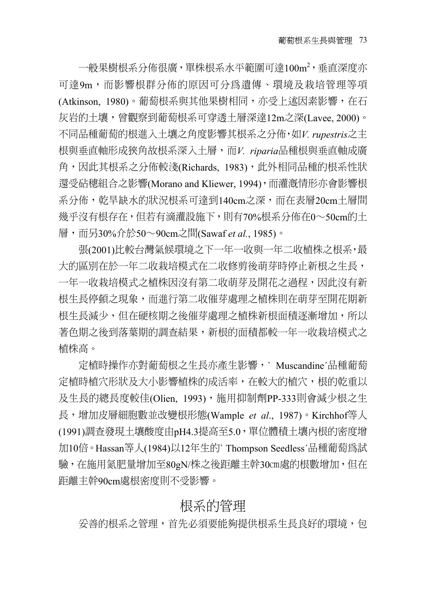一般果樹根系分佈很廣,單株根系水平範圍可達100m²,垂直深度亦 可達9m,而影響根群分佈的原因可分為遺傳、環境及栽培管理等項 (Atkinson, 1980)。葡萄根系與其他果樹相同,亦受上述因素影響,在石 灰岩的土壤,曾觀察到葡萄根系可穿透土層深達12m之深(Lavee, 2000)。 不同品種葡萄的根進入土壤之角度影響其根系之分佈,如*V. rupestris*之主 根與垂直軸形成狹角故根系深入土層,而*V. riparia*品種根與垂直軸成廣 角,因此其根系之分佈較淺(Richards, 1983),此外相同品種的根系性狀 還受砧穗組合之影響(Morano and Kliewer, 1994), 而灌漑情形亦會影響根 系分佈,乾旱缺水的狀況根系可達到140cm之深,而在表層20cm土層間 幾乎沒有根存在,但若有滴灌設施下,則有70%根系分佈在0∼50cm的土 層,而另30%介於50∼90cm之間(Sawaf *et al.*, 1985)。

張(2001)比較台灣氣候環境之下一年一收與一年二收植株之根系,最 大的區別在於一年二收栽培模式在二收修剪後萌芽時停止新根之生長, 一年一收栽培模式之植株因沒有第二收萌芽及開花之過程,因此沒有新 根生長停頓之現象,而進行第二收催芽處理之植株則在萌芽至開花期新 根生長減少,但在硬核期之後催芽處理之植株新根面積逐漸增加,所以 著色期之後到落葉期的調查結果,新根的面積都較一年一收栽培模式之 植株高。

定植時操作亦對葡萄根之生長亦產生影響,` Muscandine´品種葡萄 定植時植穴形狀及大小影響植株的成活率,在較大的植穴,根的乾重以 及生長的總長度較佳(Olien, 1993),施用抑制劑PP-333則會減少根之生 長,增加皮層細胞數並改變根形態(Wample *et al*., 1987)。Kirchhof等人 (1991)調查發現土壤酸度由pH4.3提高至5.0,單位體積土壤內根的密度增 加10倍。Hassan等人(1984)以12年生的` Thompson Seedless´品種葡萄為試 驗,在施用氮肥量增加至80gN/株之後距離主幹30㎝處的根數增加,但在 距離主幹90cm處根密度則不受影響。

### 根系的管理

妥善的根系之管理,首先必須要能夠提供根系生長良好的環境,包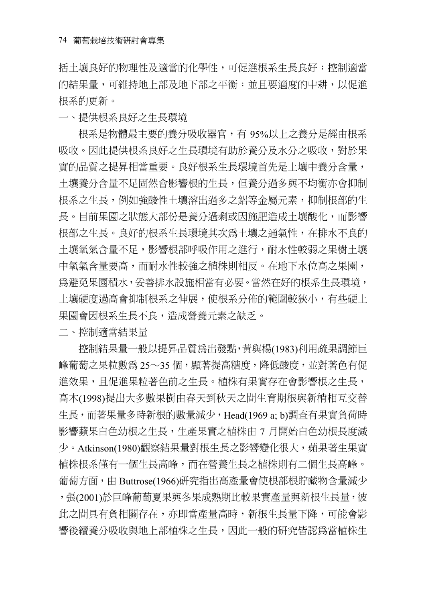括土壤良好的物理性及適當的化學性,可促進根系生長良好;控制適當 的結果量,可維持地上部及地下部之平衡;並且要適度的中耕,以促進 根系的更新。

一、提供根系良好之生長環境

根系是物體最主要的養分吸收器官,有 95%以上之養分是經由根系 吸收。因此提供根系良好之生長環境有助於養分及水分之吸收,對於果 實的品質之提昇相當重要。良好根系生長環境首先是土壤中養分含量, 土壤養分含量不足固然會影響根的生長,但養分過多與不均衡亦會抑制 根系之生長,例如強酸性土壤溶出過多之鋁等金屬元素,抑制根部的生 長。目前果園之狀態大部份是養分過剩或因施肥造成土壤酸化,而影響 根部之生長。良好的根系生長環境其次為土壤之通氣性,在排水不良的 土壤氧氣含量不足,影響根部呼吸作用之進行,耐水性較弱之果樹土壤 中氧氣含量要高,而耐水性較強之植株則相反。在地下水位高之果園, 為避免果園積水,妥善排水設施相當有必要。當然在好的根系生長環境, 土壤硬度過高會抑制根系之伸展,使根系分佈的範圍較狹小,有些硬土 果園會因根系生長不良,造成營養元素之缺乏。

二、控制適當結果量

控制結果量一般以提昇品質為出發點,黃與楊(1983)利用疏果調節巨 峰葡萄之果粒數爲 25〜35 個,顯著提高糖度,降低酸度,並對著色有促 進效果,且促進果粒著色前之生長。植株有果實存在會影響根之生長, 高木(1998)提出大多數果樹由春天到秋天之間生育期根與新梢相互交替 生長,而著果量多時新根的數量減少,Head(1969 a; b)調查有果實負荷時 影響蘋果白色幼根之生長,生產果實之植株由 7 月開始白色幼根長度減 少。Atkinson(1980)觀察結果量對根生長之影響變化很大,蘋果著生果實 植株根系僅有一個生長高峰,而在營養生長之植株則有二個生長高峰。 葡萄方面,由 Buttrose(1966)研究指出高產量會使根部根貯藏物含量減少 ,張(2001)於巨峰葡萄夏果與冬果成熟期比較果實產量與新根生長量,彼 此之間具有負相關存在,亦即當產量高時,新根生長量下降,可能會影 響後續養分吸收與地上部植株之生長,因此一般的研究皆認為當植株生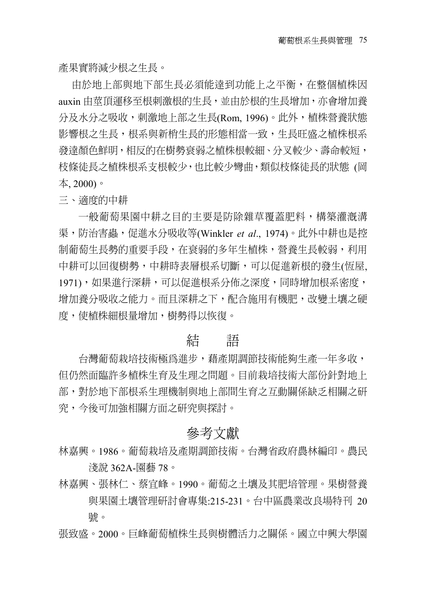產果實將減少根之生長。

由於地上部與地下部生長必須能達到功能上之平衡,在整個植株因 auxin 由莖頂運移至根刺激根的生長,並由於根的生長增加,亦會增加養 分及水分之吸收,刺激地上部之生長(Rom, 1996)。此外,植株營養狀態 影響根之生長,根系與新梢生長的形態相當一致,生長旺盛之植株根系 發達顏色鮮明,相反的在樹勢衰弱之植株根較細、分叉較少、壽命較短, 枝條徒長之植株根系支根較少,也比較少彎曲,類似枝條徒長的狀態 (岡 本, 2000)。

三、適度的中耕

一般葡萄果園中耕之目的主要是防除雜草覆蓋肥料,構築灌漑溝 渠,防治害蟲,促進水分吸收等(Winkler *et al*., 1974)。此外中耕也是控 制葡萄生長勢的重要手段,在衰弱的多年生植株,營養生長較弱,利用 中耕可以回復樹勢,中耕時表層根系切斷,可以促進新根的發生(恆屋, 1971),如果進行深耕,可以促進根系分佈之深度,同時增加根系密度, 增加養分吸收之能力。而且深耕之下,配合施用有機肥,改變土壤之硬 度,使植株細根量增加,樹勢得以恢復。

#### 結 語

台灣葡萄栽培技術極為進步,藉產期調節技術能夠生產一年多收, 但仍然面臨許多植株生育及生理之問題。目前栽培技術大部份針對地上 部,對於地下部根系生理機制與地上部間生育之互動關係缺乏相關之研 究,今後可加強相關方面之研究與探討。

#### 參考文獻

- 林嘉興。1986。葡萄栽培及產期調節技術。台灣省政府農林編印。農民 淺說 362A-園藝 78。
- 林嘉興、張林仁、蔡宜峰。1990。葡萄之土壤及其肥培管理。果樹營養 與果園土壤管理研討會專集:215-231。台中區農業改良場特刊 20 號。

張致盛。2000。巨峰葡萄植株生長與樹體活力之關係。國立中興大學園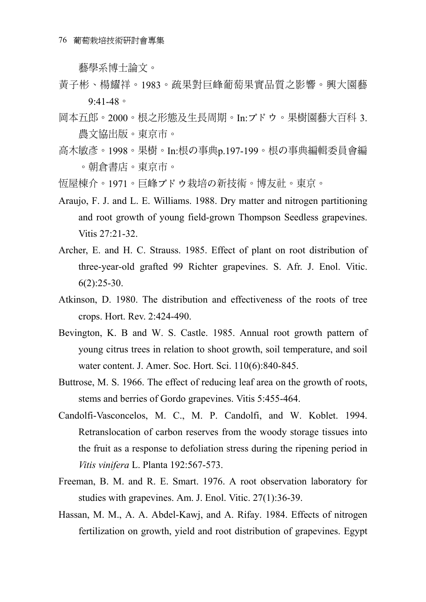藝學系博士論文。

- 黃子彬、楊耀祥。1983。疏果對巨峰葡萄果實品質之影響。興大園藝 9:41-48。
- 岡本五郎。2000。根之形熊及生長周期。In:ブドウ。果樹園藝大百科 3. 農文協出版。東京市。
- 高木敏彥。1998。果樹。In:根の事典p.197-199。根の事典編輯委員會編 。朝倉書店。東京市。
- 恆屋棟介。1971。巨峰ブドウ栽培の新技術。博友社。東京。
- Araujo, F. J. and L. E. Williams. 1988. Dry matter and nitrogen partitioning and root growth of young field-grown Thompson Seedless grapevines. Vitis 27:21-32.
- Archer, E. and H. C. Strauss. 1985. Effect of plant on root distribution of three-year-old grafted 99 Richter grapevines. S. Afr. J. Enol. Vitic.  $6(2):25-30.$
- Atkinson, D. 1980. The distribution and effectiveness of the roots of tree crops. Hort. Rev. 2:424-490.
- Bevington, K. B and W. S. Castle. 1985. Annual root growth pattern of young citrus trees in relation to shoot growth, soil temperature, and soil water content. J. Amer. Soc. Hort. Sci. 110(6):840-845.
- Buttrose, M. S. 1966. The effect of reducing leaf area on the growth of roots, stems and berries of Gordo grapevines. Vitis 5:455-464.
- Candolfi-Vasconcelos, M. C., M. P. Candolfi, and W. Koblet. 1994. Retranslocation of carbon reserves from the woody storage tissues into the fruit as a response to defoliation stress during the ripening period in *Vitis vinifera* L. Planta 192:567-573.
- Freeman, B. M. and R. E. Smart. 1976. A root observation laboratory for studies with grapevines. Am. J. Enol. Vitic. 27(1):36-39.
- Hassan, M. M., A. A. Abdel-Kawj, and A. Rifay. 1984. Effects of nitrogen fertilization on growth, yield and root distribution of grapevines. Egypt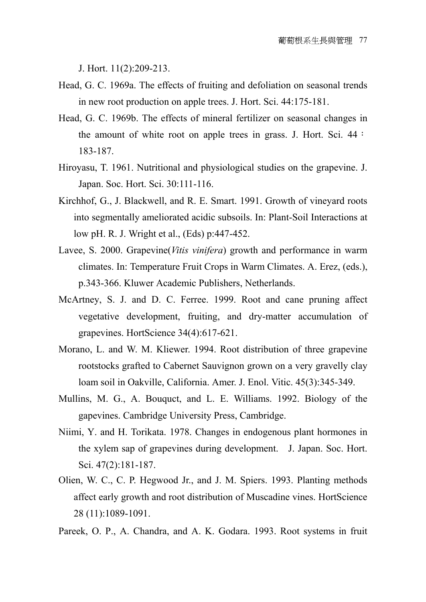J. Hort. 11(2):209-213.

- Head, G. C. 1969a. The effects of fruiting and defoliation on seasonal trends in new root production on apple trees. J. Hort. Sci. 44:175-181.
- Head, G. C. 1969b. The effects of mineral fertilizer on seasonal changes in the amount of white root on apple trees in grass. J. Hort. Sci. 44: 183-187.
- Hiroyasu, T. 1961. Nutritional and physiological studies on the grapevine. J. Japan. Soc. Hort. Sci. 30:111-116.
- Kirchhof, G., J. Blackwell, and R. E. Smart. 1991. Growth of vineyard roots into segmentally ameliorated acidic subsoils. In: Plant-Soil Interactions at low pH. R. J. Wright et al., (Eds) p:447-452.
- Lavee, S. 2000. Grapevine(*Vitis vinifera*) growth and performance in warm climates. In: Temperature Fruit Crops in Warm Climates. A. Erez, (eds.), p.343-366. Kluwer Academic Publishers, Netherlands.
- McArtney, S. J. and D. C. Ferree. 1999. Root and cane pruning affect vegetative development, fruiting, and dry-matter accumulation of grapevines. HortScience 34(4):617-621.
- Morano, L. and W. M. Kliewer. 1994. Root distribution of three grapevine rootstocks grafted to Cabernet Sauvignon grown on a very gravelly clay loam soil in Oakville, California. Amer. J. Enol. Vitic. 45(3):345-349.
- Mullins, M. G., A. Bouquct, and L. E. Williams. 1992. Biology of the gapevines. Cambridge University Press, Cambridge.
- Niimi, Y. and H. Torikata. 1978. Changes in endogenous plant hormones in the xylem sap of grapevines during development. J. Japan. Soc. Hort. Sci. 47(2):181-187.
- Olien, W. C., C. P. Hegwood Jr., and J. M. Spiers. 1993. Planting methods affect early growth and root distribution of Muscadine vines. HortScience 28 (11):1089-1091.
- Pareek, O. P., A. Chandra, and A. K. Godara. 1993. Root systems in fruit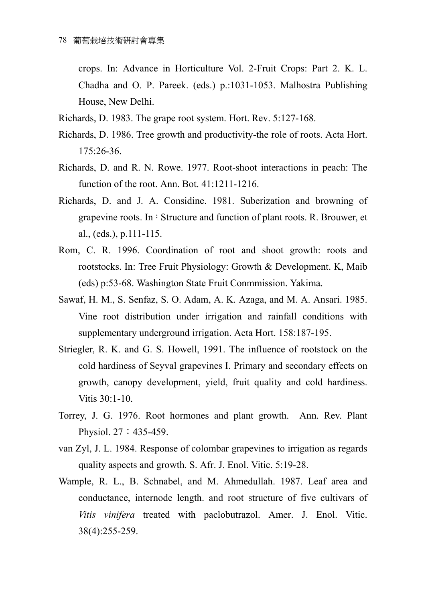crops. In: Advance in Horticulture Vol. 2-Fruit Crops: Part 2. K. L. Chadha and O. P. Pareek. (eds.) p.:1031-1053. Malhostra Publishing House, New Delhi.

- Richards, D. 1983. The grape root system. Hort. Rev. 5:127-168.
- Richards, D. 1986. Tree growth and productivity-the role of roots. Acta Hort. 175:26-36.
- Richards, D. and R. N. Rowe. 1977. Root-shoot interactions in peach: The function of the root. Ann. Bot. 41:1211-1216.
- Richards, D. and J. A. Considine. 1981. Suberization and browning of grapevine roots. In: Structure and function of plant roots. R. Brouwer, et al., (eds.), p.111-115.
- Rom, C. R. 1996. Coordination of root and shoot growth: roots and rootstocks. In: Tree Fruit Physiology: Growth & Development. K, Maib (eds) p:53-68. Washington State Fruit Conmmission. Yakima.
- Sawaf, H. M., S. Senfaz, S. O. Adam, A. K. Azaga, and M. A. Ansari. 1985. Vine root distribution under irrigation and rainfall conditions with supplementary underground irrigation. Acta Hort. 158:187-195.
- Striegler, R. K. and G. S. Howell, 1991. The influence of rootstock on the cold hardiness of Seyval grapevines I. Primary and secondary effects on growth, canopy development, yield, fruit quality and cold hardiness. Vitis 30:1-10.
- Torrey, J. G. 1976. Root hormones and plant growth. Ann. Rev. Plant Physiol. 27:435-459.
- van Zyl, J. L. 1984. Response of colombar grapevines to irrigation as regards quality aspects and growth. S. Afr. J. Enol. Vitic. 5:19-28.
- Wample, R. L., B. Schnabel, and M. Ahmedullah. 1987. Leaf area and conductance, internode length. and root structure of five cultivars of *Vitis vinifera* treated with paclobutrazol. Amer. J. Enol. Vitic. 38(4):255-259.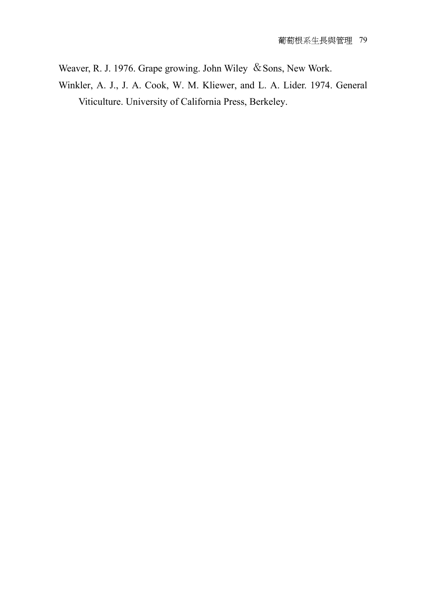Weaver, R. J. 1976. Grape growing. John Wiley & Sons, New Work.

Winkler, A. J., J. A. Cook, W. M. Kliewer, and L. A. Lider. 1974. General Viticulture. University of California Press, Berkeley.